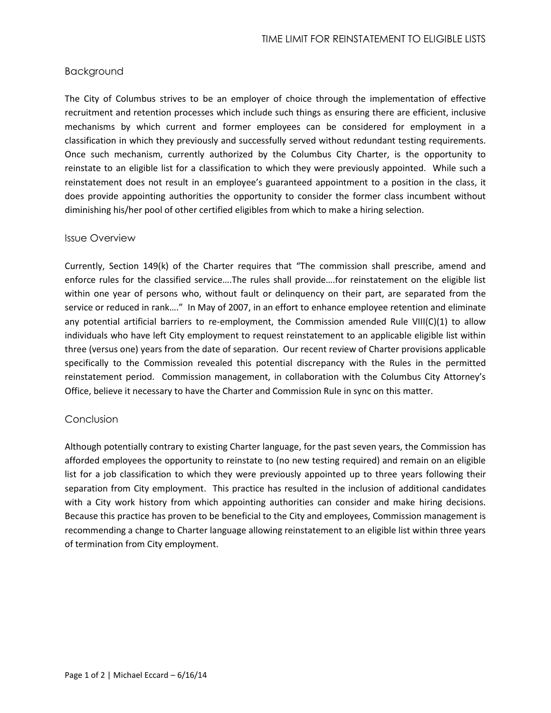## Background

The City of Columbus strives to be an employer of choice through the implementation of effective recruitment and retention processes which include such things as ensuring there are efficient, inclusive mechanisms by which current and former employees can be considered for employment in a classification in which they previously and successfully served without redundant testing requirements. Once such mechanism, currently authorized by the Columbus City Charter, is the opportunity to reinstate to an eligible list for a classification to which they were previously appointed. While such a reinstatement does not result in an employee's guaranteed appointment to a position in the class, it does provide appointing authorities the opportunity to consider the former class incumbent without diminishing his/her pool of other certified eligibles from which to make a hiring selection.

## Issue Overview

Currently, Section 149(k) of the Charter requires that "The commission shall prescribe, amend and enforce rules for the classified service….The rules shall provide….for reinstatement on the eligible list within one year of persons who, without fault or delinquency on their part, are separated from the service or reduced in rank…." In May of 2007, in an effort to enhance employee retention and eliminate any potential artificial barriers to re-employment, the Commission amended Rule VIII(C)(1) to allow individuals who have left City employment to request reinstatement to an applicable eligible list within three (versus one) years from the date of separation. Our recent review of Charter provisions applicable specifically to the Commission revealed this potential discrepancy with the Rules in the permitted reinstatement period. Commission management, in collaboration with the Columbus City Attorney's Office, believe it necessary to have the Charter and Commission Rule in sync on this matter.

## Conclusion

Although potentially contrary to existing Charter language, for the past seven years, the Commission has afforded employees the opportunity to reinstate to (no new testing required) and remain on an eligible list for a job classification to which they were previously appointed up to three years following their separation from City employment. This practice has resulted in the inclusion of additional candidates with a City work history from which appointing authorities can consider and make hiring decisions. Because this practice has proven to be beneficial to the City and employees, Commission management is recommending a change to Charter language allowing reinstatement to an eligible list within three years of termination from City employment.